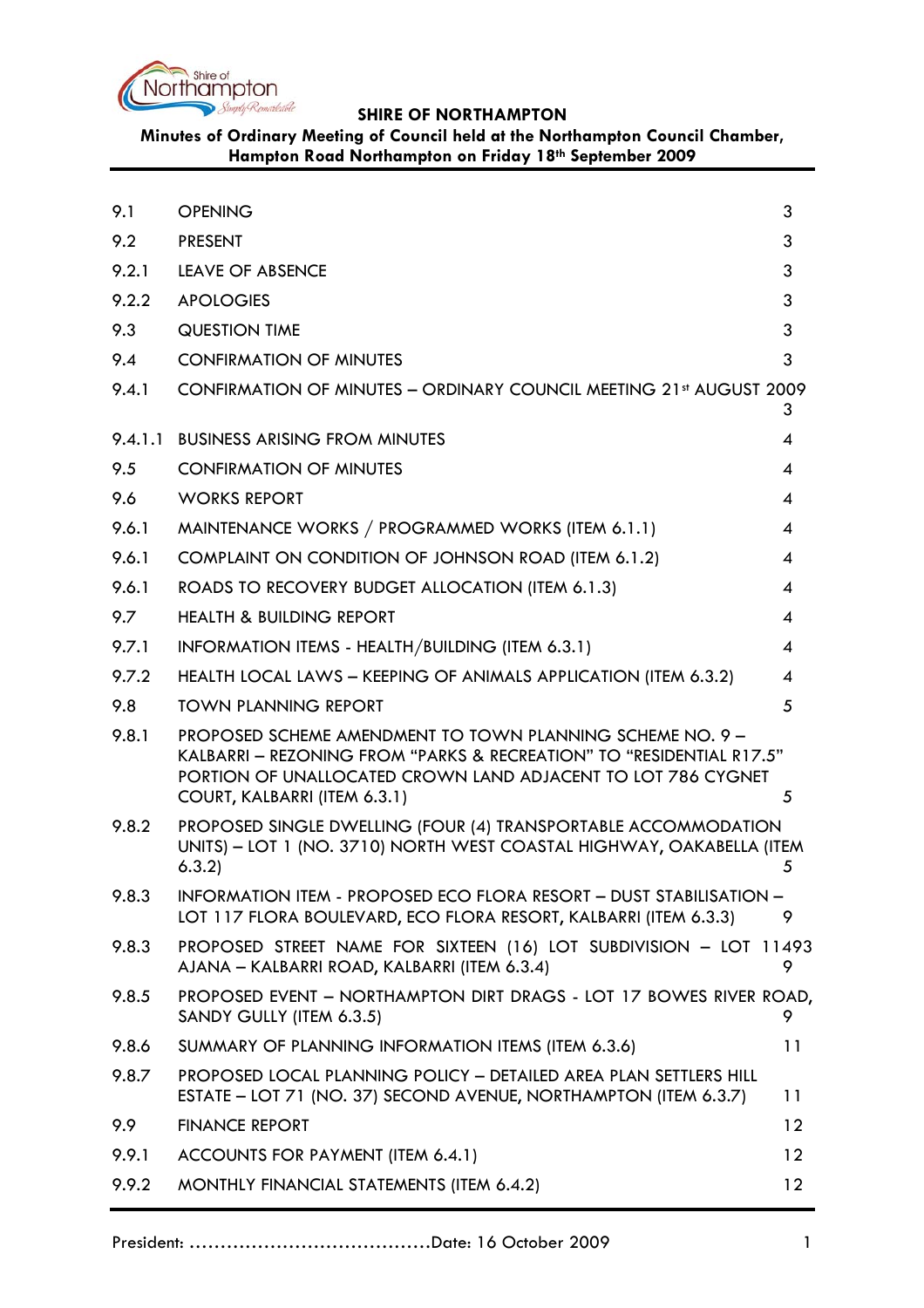

**Minutes of Ordinary Meeting of Council held at the Northampton Council Chamber, Hampton Road Northampton on Friday 18th September 2009**

| 9.1     | <b>OPENING</b>                                                                                                                                                                                                                    | 3                        |
|---------|-----------------------------------------------------------------------------------------------------------------------------------------------------------------------------------------------------------------------------------|--------------------------|
| 9.2     | <b>PRESENT</b>                                                                                                                                                                                                                    | 3                        |
| 9.2.1   | LEAVE OF ABSENCE                                                                                                                                                                                                                  | 3                        |
| 9.2.2   | <b>APOLOGIES</b>                                                                                                                                                                                                                  | 3                        |
| 9.3     | <b>QUESTION TIME</b>                                                                                                                                                                                                              | 3                        |
| 9.4     | <b>CONFIRMATION OF MINUTES</b>                                                                                                                                                                                                    | 3                        |
| 9.4.1   | <b>CONFIRMATION OF MINUTES - ORDINARY COUNCIL MEETING 21st AUGUST 2009</b>                                                                                                                                                        | 3                        |
| 9.4.1.1 | <b>BUSINESS ARISING FROM MINUTES</b>                                                                                                                                                                                              | 4                        |
| 9.5     | <b>CONFIRMATION OF MINUTES</b>                                                                                                                                                                                                    | 4                        |
| 9.6     | <b>WORKS REPORT</b>                                                                                                                                                                                                               | 4                        |
| 9.6.1   | MAINTENANCE WORKS / PROGRAMMED WORKS (ITEM 6.1.1)                                                                                                                                                                                 | 4                        |
| 9.6.1   | COMPLAINT ON CONDITION OF JOHNSON ROAD (ITEM 6.1.2)                                                                                                                                                                               | 4                        |
| 9.6.1   | ROADS TO RECOVERY BUDGET ALLOCATION (ITEM 6.1.3)                                                                                                                                                                                  | 4                        |
| 9.7     | <b>HEALTH &amp; BUILDING REPORT</b>                                                                                                                                                                                               | $\overline{\mathcal{A}}$ |
| 9.7.1   | INFORMATION ITEMS - HEALTH/BUILDING (ITEM 6.3.1)                                                                                                                                                                                  | 4                        |
| 9.7.2   | HEALTH LOCAL LAWS - KEEPING OF ANIMALS APPLICATION (ITEM 6.3.2)                                                                                                                                                                   | 4                        |
| 9.8     | <b>TOWN PLANNING REPORT</b>                                                                                                                                                                                                       | 5                        |
| 9.8.1   | PROPOSED SCHEME AMENDMENT TO TOWN PLANNING SCHEME NO. 9 -<br>KALBARRI - REZONING FROM "PARKS & RECREATION" TO "RESIDENTIAL R17.5"<br>PORTION OF UNALLOCATED CROWN LAND ADJACENT TO LOT 786 CYGNET<br>COURT, KALBARRI (ITEM 6.3.1) | 5                        |
| 9.8.2   | PROPOSED SINGLE DWELLING (FOUR (4) TRANSPORTABLE ACCOMMODATION<br>UNITS) - LOT 1 (NO. 3710) NORTH WEST COASTAL HIGHWAY, OAKABELLA (ITEM<br>6.3.2                                                                                  | 5                        |
| 9.8.3   | INFORMATION ITEM - PROPOSED ECO FLORA RESORT - DUST STABILISATION -<br>LOT 117 FLORA BOULEVARD, ECO FLORA RESORT, KALBARRI (ITEM 6.3.3)                                                                                           | 9                        |
| 9.8.3   | PROPOSED STREET NAME FOR SIXTEEN (16) LOT SUBDIVISION - LOT 11493<br>AJANA – KALBARRI ROAD, KALBARRI (ITEM 6.3.4)                                                                                                                 | 9                        |
| 9.8.5   | PROPOSED EVENT - NORTHAMPTON DIRT DRAGS - LOT 17 BOWES RIVER ROAD,<br>SANDY GULLY (ITEM 6.3.5)                                                                                                                                    | 9                        |
| 9.8.6   | SUMMARY OF PLANNING INFORMATION ITEMS (ITEM 6.3.6)                                                                                                                                                                                | 11                       |
| 9.8.7   | PROPOSED LOCAL PLANNING POLICY - DETAILED AREA PLAN SETTLERS HILL<br>ESTATE - LOT 71 (NO. 37) SECOND AVENUE, NORTHAMPTON (ITEM 6.3.7)                                                                                             | 11                       |
| 9.9     | <b>FINANCE REPORT</b>                                                                                                                                                                                                             | 12                       |
| 9.9.1   | ACCOUNTS FOR PAYMENT (ITEM 6.4.1)                                                                                                                                                                                                 | 12                       |
| 9.9.2   | MONTHLY FINANCIAL STATEMENTS (ITEM 6.4.2)                                                                                                                                                                                         | 12                       |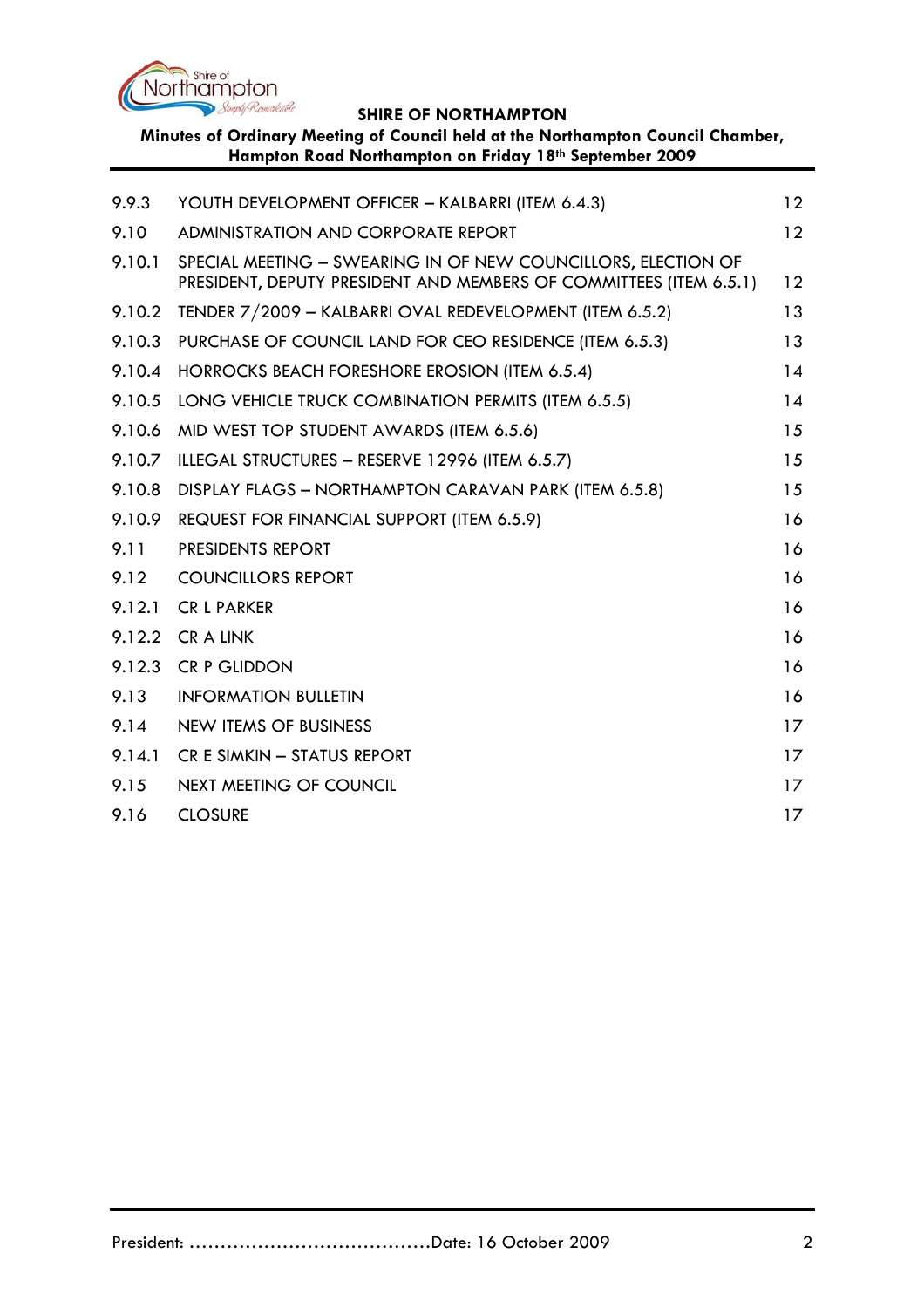

**Minutes of Ordinary Meeting of Council held at the Northampton Council Chamber, Hampton Road Northampton on Friday 18th September 2009**

| 9.9.3  | YOUTH DEVELOPMENT OFFICER - KALBARRI (ITEM 6.4.3)                                                                                   | 12      |
|--------|-------------------------------------------------------------------------------------------------------------------------------------|---------|
| 9.10   | <b>ADMINISTRATION AND CORPORATE REPORT</b>                                                                                          | 12      |
| 9.10.1 | SPECIAL MEETING - SWEARING IN OF NEW COUNCILLORS, ELECTION OF<br>PRESIDENT, DEPUTY PRESIDENT AND MEMBERS OF COMMITTEES (ITEM 6.5.1) | 12      |
| 9.10.2 | TENDER 7/2009 - KALBARRI OVAL REDEVELOPMENT (ITEM 6.5.2)                                                                            | 13      |
| 9.10.3 | PURCHASE OF COUNCIL LAND FOR CEO RESIDENCE (ITEM 6.5.3)                                                                             | 13      |
| 9.10.4 | HORROCKS BEACH FORESHORE EROSION (ITEM 6.5.4)                                                                                       | 14      |
| 9.10.5 | LONG VEHICLE TRUCK COMBINATION PERMITS (ITEM 6.5.5)                                                                                 | 14      |
| 9.10.6 | MID WEST TOP STUDENT AWARDS (ITEM 6.5.6)                                                                                            | 15      |
| 9.10.7 | ILLEGAL STRUCTURES - RESERVE 12996 (ITEM 6.5.7)                                                                                     | 15      |
| 9.10.8 | DISPLAY FLAGS - NORTHAMPTON CARAVAN PARK (ITEM 6.5.8)                                                                               | 15      |
| 9.10.9 | REQUEST FOR FINANCIAL SUPPORT (ITEM 6.5.9)                                                                                          | 16      |
| 9.11   | PRESIDENTS REPORT                                                                                                                   | 16      |
| 9.12   | <b>COUNCILLORS REPORT</b>                                                                                                           | 16      |
| 9.12.1 | <b>CR L PARKER</b>                                                                                                                  | 16      |
| 9.12.2 | <b>CRALINK</b>                                                                                                                      | 16      |
| 9.12.3 | <b>CR P GLIDDON</b>                                                                                                                 | 16      |
| 9.13   | <b>INFORMATION BULLETIN</b>                                                                                                         | 16      |
| 9.14   | <b>NEW ITEMS OF BUSINESS</b>                                                                                                        | 17      |
| 9.14.1 | CR E SIMKIN - STATUS REPORT                                                                                                         | 17      |
| 9.15   | <b>NEXT MEETING OF COUNCIL</b>                                                                                                      | $17 \,$ |
| 9.16   | <b>CLOSURE</b>                                                                                                                      | 17      |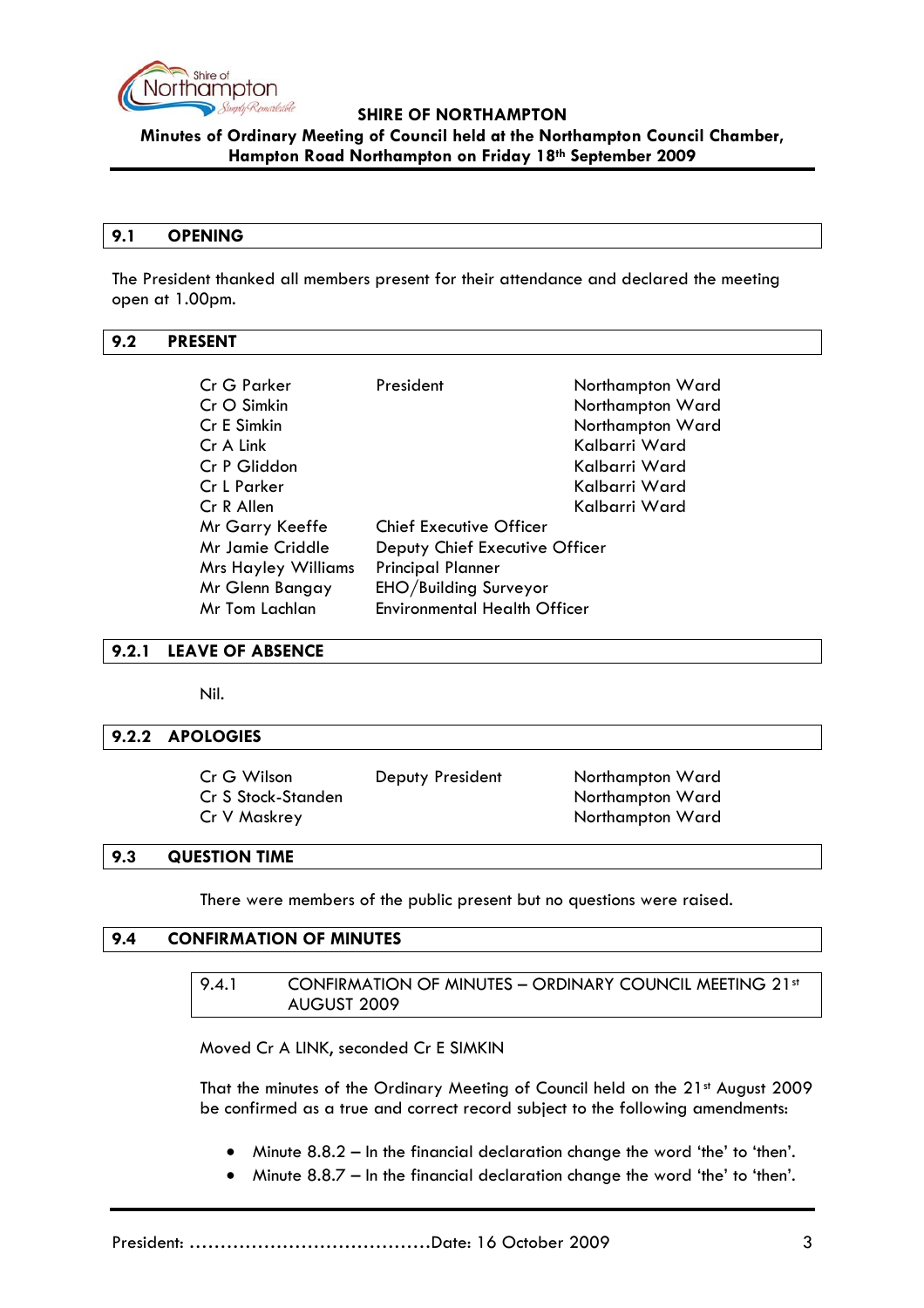<span id="page-2-0"></span>

**Minutes of Ordinary Meeting of Council held at the Northampton Council Chamber, Hampton Road Northampton on Friday 18th September 2009**

#### **9.1 OPENING**

The President thanked all members present for their attendance and declared the meeting open at 1.00pm.

#### **9.2 PRESENT**

| Cr G Parker<br>Cr O Simkin<br>Cr E Simkin<br>Cr A Link | President                           | Northampton Ward<br>Northampton Ward<br>Northampton Ward<br>Kalbarri Ward |
|--------------------------------------------------------|-------------------------------------|---------------------------------------------------------------------------|
| Cr P Gliddon                                           |                                     | Kalbarri Ward                                                             |
| Cr L Parker                                            |                                     | Kalbarri Ward                                                             |
| Cr R Allen                                             |                                     | Kalbarri Ward                                                             |
| Mr Garry Keeffe                                        | <b>Chief Executive Officer</b>      |                                                                           |
| Mr Jamie Criddle                                       | Deputy Chief Executive Officer      |                                                                           |
| <b>Mrs Hayley Williams</b>                             | <b>Principal Planner</b>            |                                                                           |
| Mr Glenn Bangay                                        | EHO/Building Surveyor               |                                                                           |
| Mr Tom Lachlan                                         | <b>Environmental Health Officer</b> |                                                                           |

**9.2.1 LEAVE OF ABSENCE** 

Nil.

#### **9.2.2 APOLOGIES**

| Cr G Wilson        | Deputy President | Northampton Ward |
|--------------------|------------------|------------------|
| Cr S Stock-Standen |                  | Northampton Ward |
| Cr V Maskrey       |                  | Northampton Ward |

#### **9.3 QUESTION TIME**

There were members of the public present but no questions were raised.

#### **9.4 CONFIRMATION OF MINUTES**

9.4.1 CONFIRMATION OF MINUTES - ORDINARY COUNCIL MEETING 21st AUGUST 2009

Moved Cr A LINK, seconded Cr E SIMKIN

That the minutes of the Ordinary Meeting of Council held on the 21st August 2009 be confirmed as a true and correct record subject to the following amendments:

- Minute 8.8.2 In the financial declaration change the word 'the' to 'then'.
- Minute 8.8.7 In the financial declaration change the word 'the' to 'then'.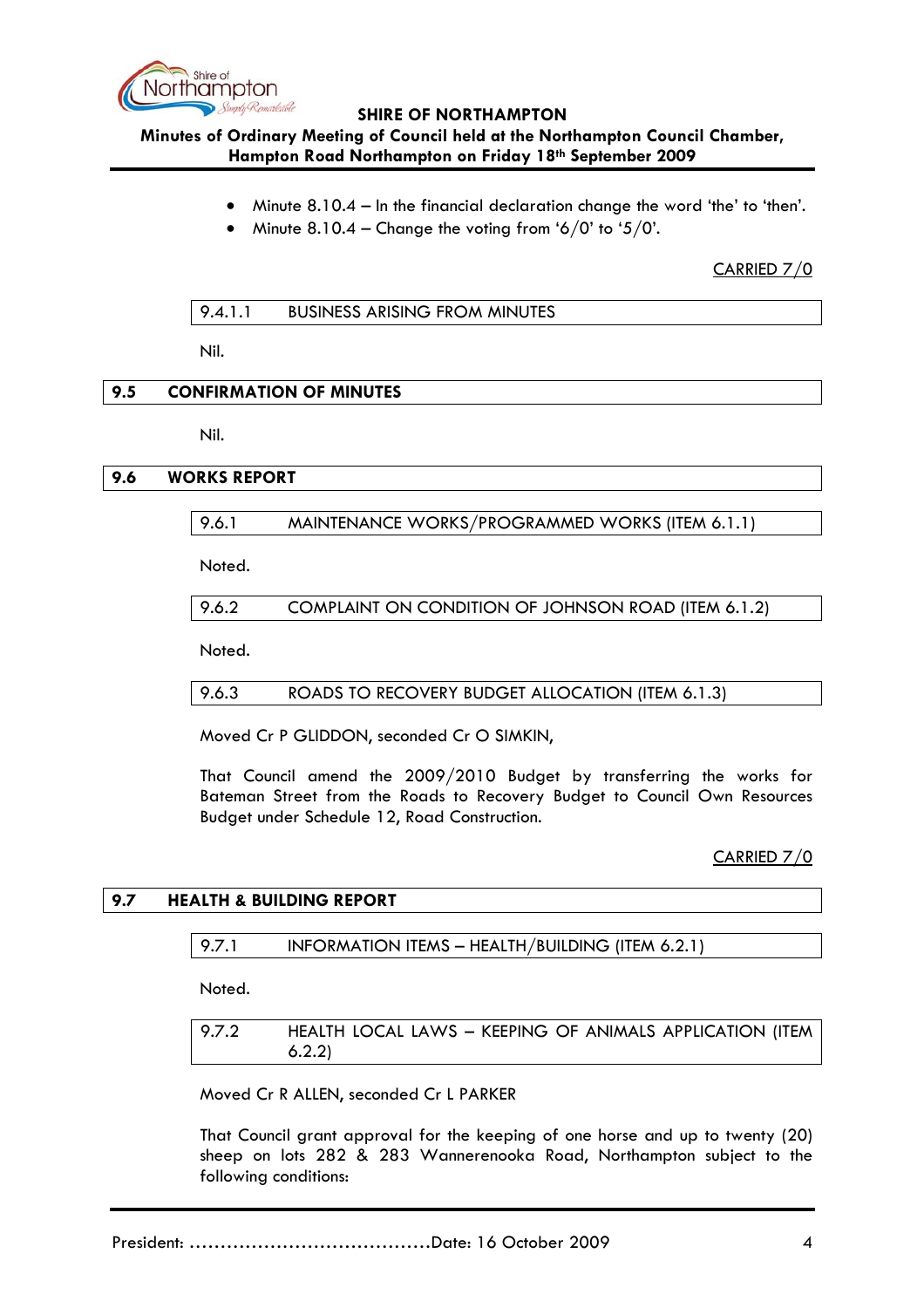<span id="page-3-0"></span>

# **Minutes of Ordinary Meeting of Council held at the Northampton Council Chamber, Hampton Road Northampton on Friday 18th September 2009**

- Minute 8.10.4 In the financial declaration change the word 'the' to 'then'.
- Minute  $8.10.4$  Change the voting from '6/0' to '5/0'.

CARRIED 7/0

Nil.

### **9.5 CONFIRMATION OF MINUTES**

Nil.

# **9.6 WORKS REPORT**

# 9.6.1 MAINTENANCE WORKS/PROGRAMMED WORKS (ITEM 6.1.1)

Noted.

9.6.2 COMPLAINT ON CONDITION OF JOHNSON ROAD (ITEM 6.1.2)

Noted.

9.6.3 ROADS TO RECOVERY BUDGET ALLOCATION (ITEM 6.1.3)

Moved Cr P GLIDDON, seconded Cr O SIMKIN,

That Council amend the 2009/2010 Budget by transferring the works for Bateman Street from the Roads to Recovery Budget to Council Own Resources Budget under Schedule 12, Road Construction.

CARRIED 7/0

# **9.7 HEALTH & BUILDING REPORT**

#### 9.7.1 INFORMATION ITEMS - HEALTH/BUILDING (ITEM 6.2.1)

Noted.

9.7.2 HEALTH LOCAL LAWS – KEEPING OF ANIMALS APPLICATION (ITEM 6.2.2)

Moved Cr R ALLEN, seconded Cr L PARKER

That Council grant approval for the keeping of one horse and up to twenty (20) sheep on lots 282 & 283 Wannerenooka Road, Northampton subject to the following conditions: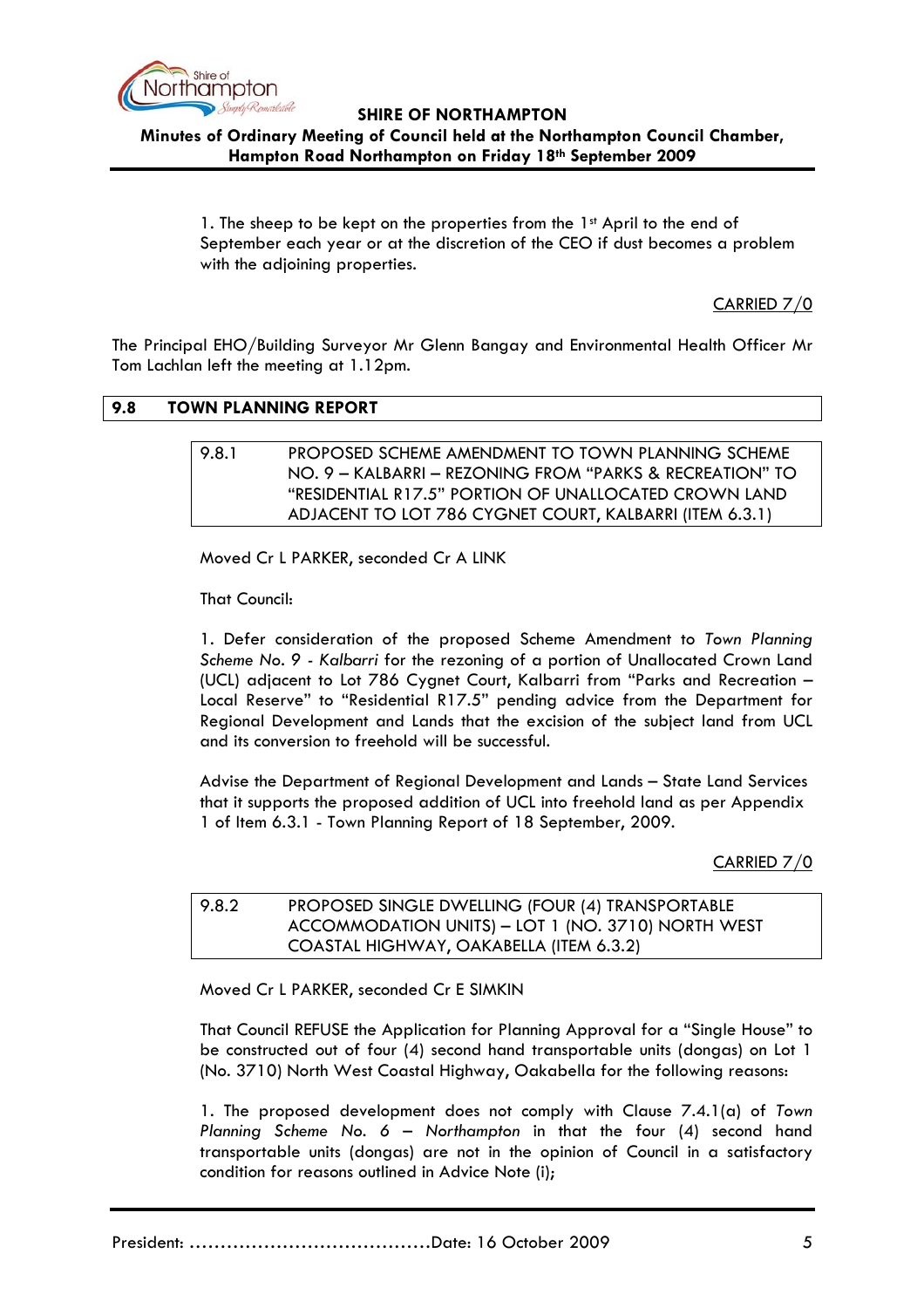<span id="page-4-0"></span>

**Minutes of Ordinary Meeting of Council held at the Northampton Council Chamber, Hampton Road Northampton on Friday 18th September 2009**

1. The sheep to be kept on the properties from the 1st April to the end of September each year or at the discretion of the CEO if dust becomes a problem with the adjoining properties.

CARRIED 7/0

The Principal EHO/Building Surveyor Mr Glenn Bangay and Environmental Health Officer Mr Tom Lachlan left the meeting at 1.12pm.

### **9.8 TOWN PLANNING REPORT**

## 9.8.1 PROPOSED SCHEME AMENDMENT TO TOWN PLANNING SCHEME NO. 9 – KALBARRI – REZONING FROM "PARKS & RECREATION" TO "RESIDENTIAL R17.5" PORTION OF UNALLOCATED CROWN LAND ADJACENT TO LOT 786 CYGNET COURT, KALBARRI (ITEM 6.3.1)

Moved Cr L PARKER, seconded Cr A LINK

That Council:

1. Defer consideration of the proposed Scheme Amendment to *Town Planning Scheme No. 9 - Kalbarri* for the rezoning of a portion of Unallocated Crown Land (UCL) adjacent to Lot 786 Cygnet Court, Kalbarri from "Parks and Recreation – Local Reserve" to "Residential R17.5" pending advice from the Department for Regional Development and Lands that the excision of the subject land from UCL and its conversion to freehold will be successful.

Advise the Department of Regional Development and Lands – State Land Services that it supports the proposed addition of UCL into freehold land as per Appendix 1 of Item 6.3.1 - Town Planning Report of 18 September, 2009.

CARRIED 7/0

# 9.8.2 PROPOSED SINGLE DWELLING (FOUR (4) TRANSPORTABLE ACCOMMODATION UNITS) – LOT 1 (NO. 3710) NORTH WEST COASTAL HIGHWAY, OAKABELLA (ITEM 6.3.2)

Moved Cr L PARKER, seconded Cr E SIMKIN

That Council REFUSE the Application for Planning Approval for a "Single House" to be constructed out of four (4) second hand transportable units (dongas) on Lot 1 (No. 3710) North West Coastal Highway, Oakabella for the following reasons:

1. The proposed development does not comply with Clause 7.4.1(a) of *Town Planning Scheme No. 6 – Northampton* in that the four (4) second hand transportable units (dongas) are not in the opinion of Council in a satisfactory condition for reasons outlined in Advice Note (i);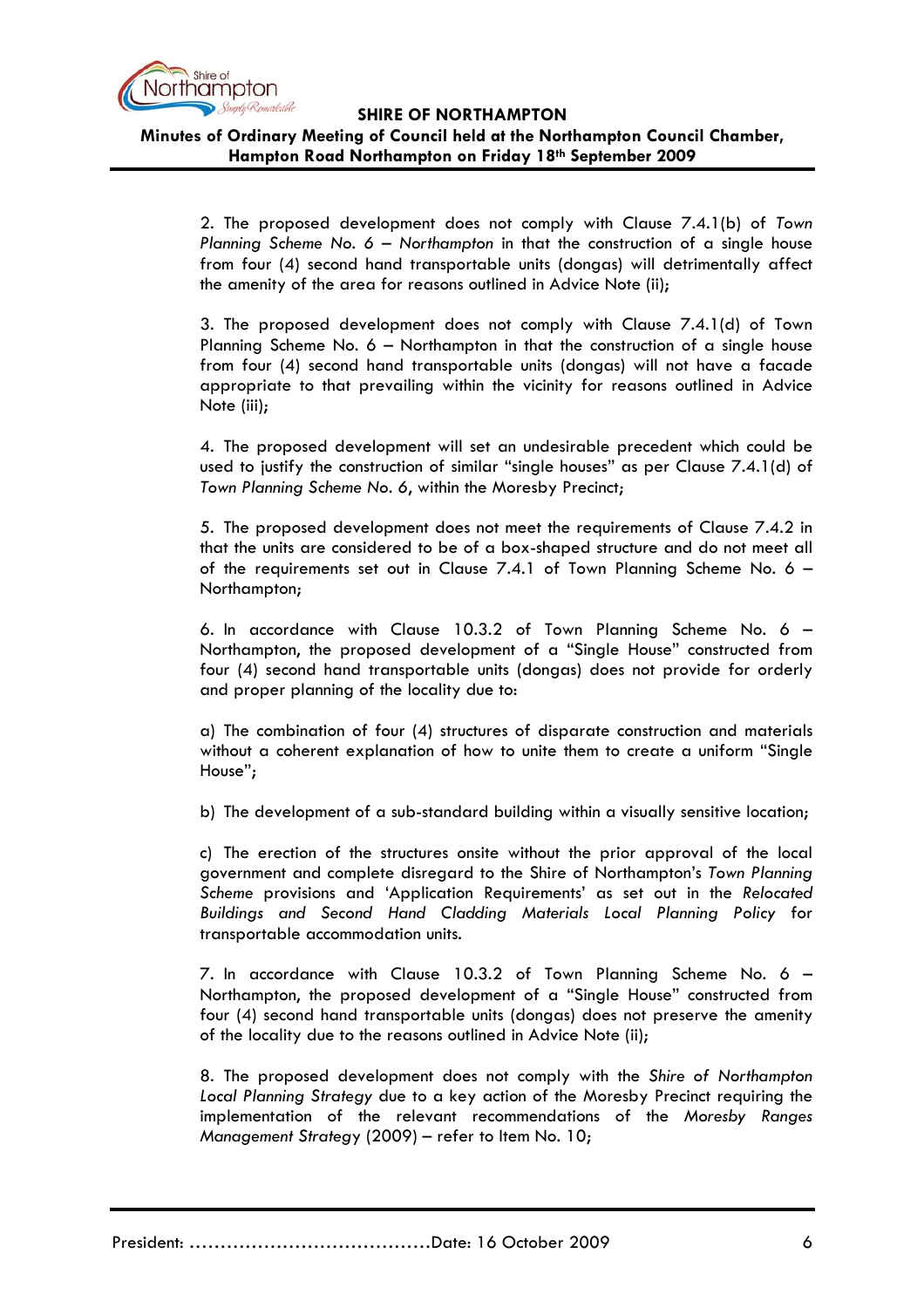

**Minutes of Ordinary Meeting of Council held at the Northampton Council Chamber, Hampton Road Northampton on Friday 18th September 2009**

2. The proposed development does not comply with Clause 7.4.1(b) of *Town Planning Scheme No. 6 – Northampton* in that the construction of a single house from four (4) second hand transportable units (dongas) will detrimentally affect the amenity of the area for reasons outlined in Advice Note (ii);

3. The proposed development does not comply with Clause 7.4.1(d) of Town Planning Scheme No. 6 – Northampton in that the construction of a single house from four (4) second hand transportable units (dongas) will not have a facade appropriate to that prevailing within the vicinity for reasons outlined in Advice Note (iii);

4. The proposed development will set an undesirable precedent which could be used to justify the construction of similar "single houses" as per Clause 7.4.1(d) of *Town Planning Scheme No. 6*, within the Moresby Precinct;

5. The proposed development does not meet the requirements of Clause 7.4.2 in that the units are considered to be of a box-shaped structure and do not meet all of the requirements set out in Clause 7.4.1 of Town Planning Scheme No. 6 – Northampton;

6. In accordance with Clause 10.3.2 of Town Planning Scheme No. 6 – Northampton, the proposed development of a "Single House" constructed from four (4) second hand transportable units (dongas) does not provide for orderly and proper planning of the locality due to:

a) The combination of four (4) structures of disparate construction and materials without a coherent explanation of how to unite them to create a uniform "Single House";

b) The development of a sub-standard building within a visually sensitive location;

c) The erection of the structures onsite without the prior approval of the local government and complete disregard to the Shire of Northampton's *Town Planning Scheme* provisions and 'Application Requirements' as set out in the *Relocated Buildings and Second Hand Cladding Materials Local Planning Policy* for transportable accommodation units.

7. In accordance with Clause 10.3.2 of Town Planning Scheme No. 6 – Northampton, the proposed development of a "Single House" constructed from four (4) second hand transportable units (dongas) does not preserve the amenity of the locality due to the reasons outlined in Advice Note (ii);

8. The proposed development does not comply with the *Shire of Northampton Local Planning Strategy* due to a key action of the Moresby Precinct requiring the implementation of the relevant recommendations of the *Moresby Ranges Management Strateg*y (2009) – refer to Item No. 10;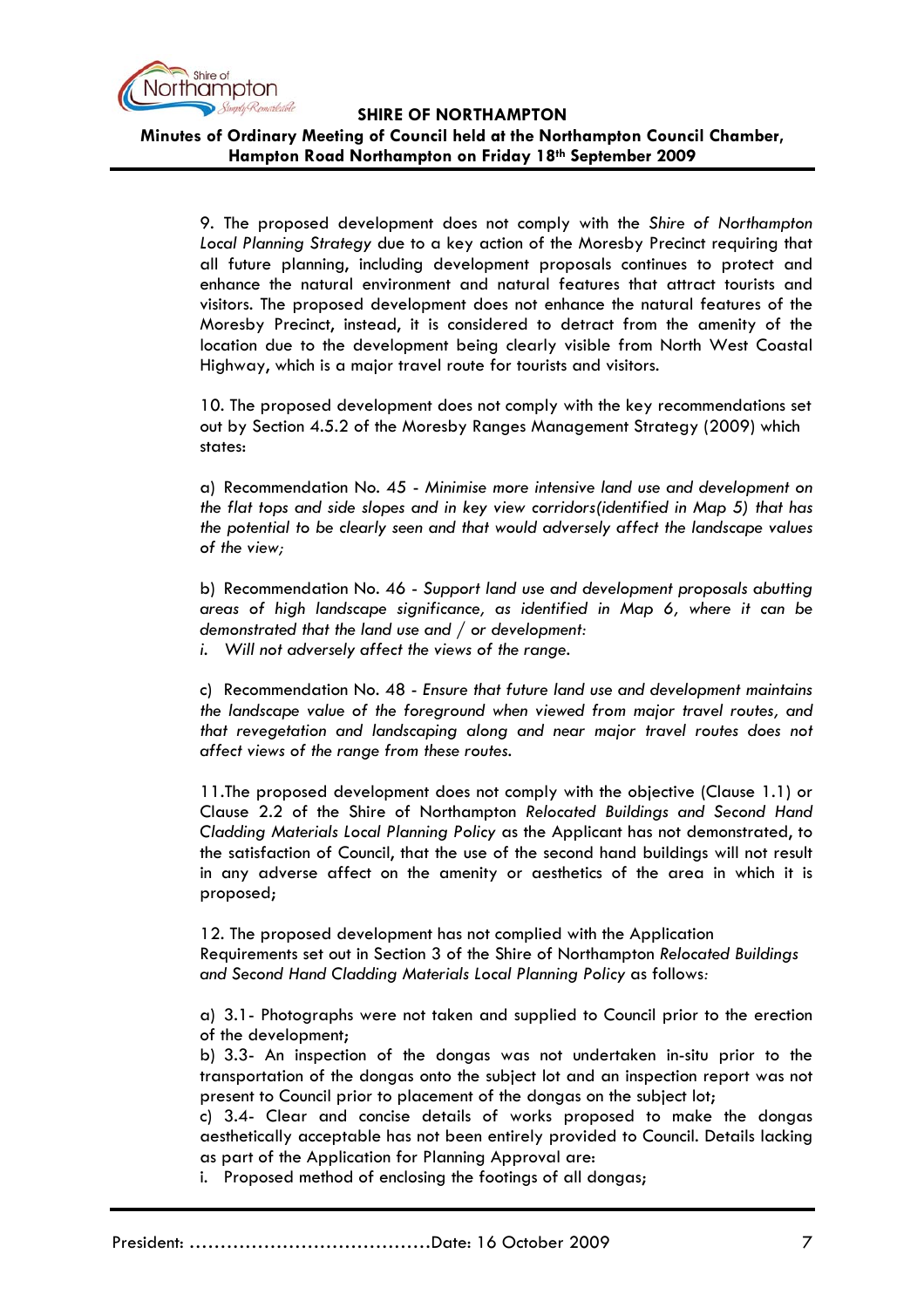

**Minutes of Ordinary Meeting of Council held at the Northampton Council Chamber, Hampton Road Northampton on Friday 18th September 2009**

9. The proposed development does not comply with the *Shire of Northampton Local Planning Strategy* due to a key action of the Moresby Precinct requiring that all future planning, including development proposals continues to protect and enhance the natural environment and natural features that attract tourists and visitors. The proposed development does not enhance the natural features of the Moresby Precinct, instead, it is considered to detract from the amenity of the location due to the development being clearly visible from North West Coastal Highway, which is a major travel route for tourists and visitors.

10. The proposed development does not comply with the key recommendations set out by Section 4.5.2 of the Moresby Ranges Management Strategy (2009) which states:

a) Recommendation No. 45 - *Minimise more intensive land use and development on the flat tops and side slopes and in key view corridors(identified in Map 5) that has the potential to be clearly seen and that would adversely affect the landscape values of the view;*

b) Recommendation No. 46 - *Support land use and development proposals abutting areas of high landscape significance, as identified in Map 6, where it can be demonstrated that the land use and / or development:*

*i. Will not adversely affect the views of the range.* 

c) Recommendation No. 48 - *Ensure that future land use and development maintains the landscape value of the foreground when viewed from major travel routes, and that revegetation and landscaping along and near major travel routes does not affect views of the range from these routes.*

11.The proposed development does not comply with the objective (Clause 1.1) or Clause 2.2 of the Shire of Northampton *Relocated Buildings and Second Hand Cladding Materials Local Planning Policy* as the Applicant has not demonstrated, to the satisfaction of Council, that the use of the second hand buildings will not result in any adverse affect on the amenity or aesthetics of the area in which it is proposed;

12. The proposed development has not complied with the Application Requirements set out in Section 3 of the Shire of Northampton *Relocated Buildings and Second Hand Cladding Materials Local Planning Policy* as follows*:*

a) 3.1- Photographs were not taken and supplied to Council prior to the erection of the development;

b) 3.3- An inspection of the dongas was not undertaken in-situ prior to the transportation of the dongas onto the subject lot and an inspection report was not present to Council prior to placement of the dongas on the subject lot;

c) 3.4- Clear and concise details of works proposed to make the dongas aesthetically acceptable has not been entirely provided to Council. Details lacking as part of the Application for Planning Approval are:

i. Proposed method of enclosing the footings of all dongas;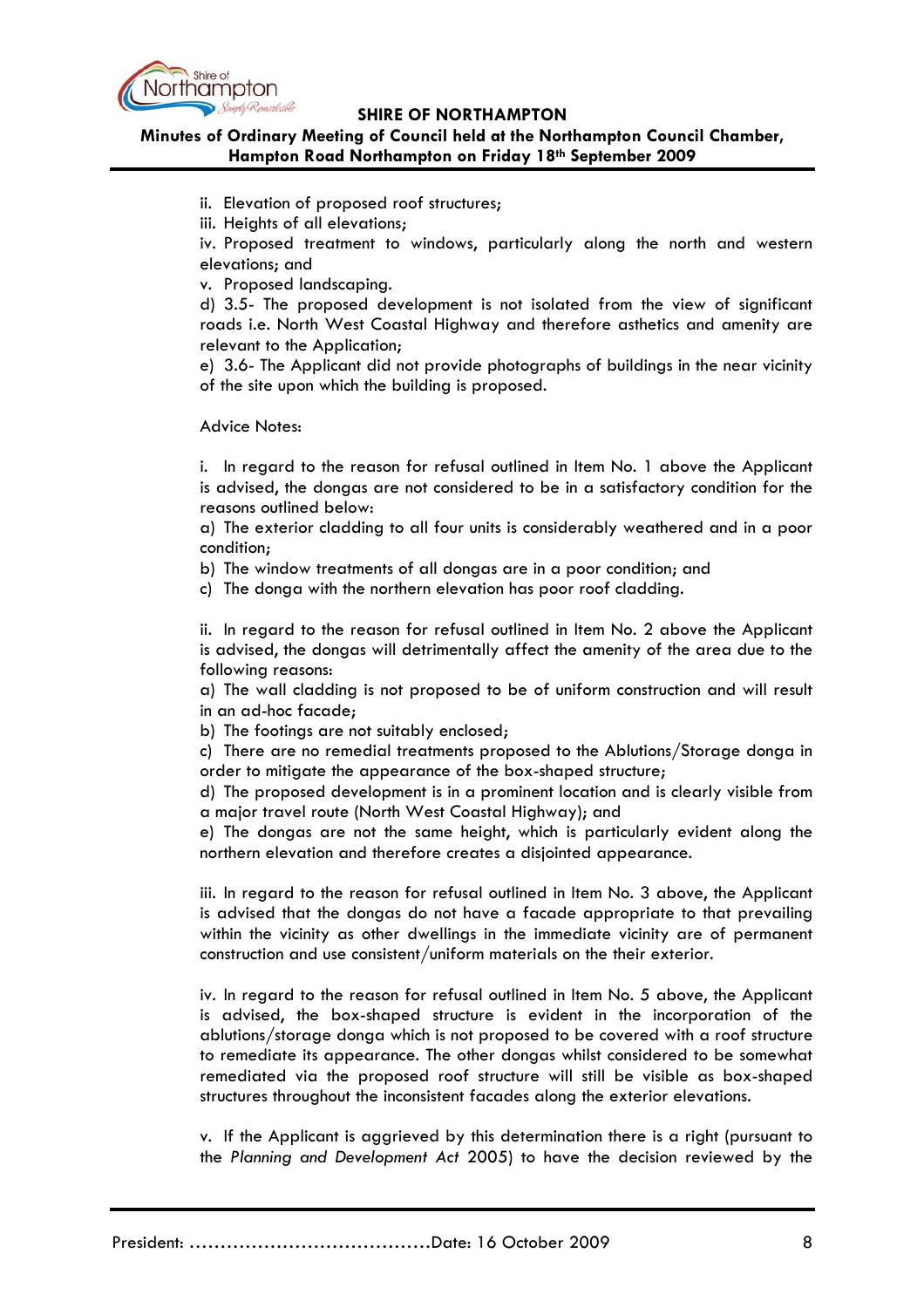

# **Minutes of Ordinary Meeting of Council held at the Northampton Council Chamber, Hampton Road Northampton on Friday 18th September 2009**

- ii. Elevation of proposed roof structures;
- iii. Heights of all elevations;

iv. Proposed treatment to windows, particularly along the north and western elevations; and

v. Proposed landscaping.

d) 3.5- The proposed development is not isolated from the view of significant roads i.e. North West Coastal Highway and therefore asthetics and amenity are relevant to the Application;

e) 3.6- The Applicant did not provide photographs of buildings in the near vicinity of the site upon which the building is proposed.

Advice Notes:

i. In regard to the reason for refusal outlined in Item No. 1 above the Applicant is advised, the dongas are not considered to be in a satisfactory condition for the reasons outlined below:

a) The exterior cladding to all four units is considerably weathered and in a poor condition;

b) The window treatments of all dongas are in a poor condition; and

c) The donga with the northern elevation has poor roof cladding.

ii. In regard to the reason for refusal outlined in Item No. 2 above the Applicant is advised, the dongas will detrimentally affect the amenity of the area due to the following reasons:

a) The wall cladding is not proposed to be of uniform construction and will result in an ad-hoc facade;

b) The footings are not suitably enclosed;

c) There are no remedial treatments proposed to the Ablutions/Storage donga in order to mitigate the appearance of the box-shaped structure;

d) The proposed development is in a prominent location and is clearly visible from a major travel route (North West Coastal Highway); and

e) The dongas are not the same height, which is particularly evident along the northern elevation and therefore creates a disjointed appearance.

iii. In regard to the reason for refusal outlined in Item No. 3 above, the Applicant is advised that the dongas do not have a facade appropriate to that prevailing within the vicinity as other dwellings in the immediate vicinity are of permanent construction and use consistent/uniform materials on the their exterior.

iv. In regard to the reason for refusal outlined in Item No. 5 above, the Applicant is advised, the box-shaped structure is evident in the incorporation of the ablutions/storage donga which is not proposed to be covered with a roof structure to remediate its appearance. The other dongas whilst considered to be somewhat remediated via the proposed roof structure will still be visible as box-shaped structures throughout the inconsistent facades along the exterior elevations.

v. If the Applicant is aggrieved by this determination there is a right (pursuant to the *Planning and Development Act* 2005) to have the decision reviewed by the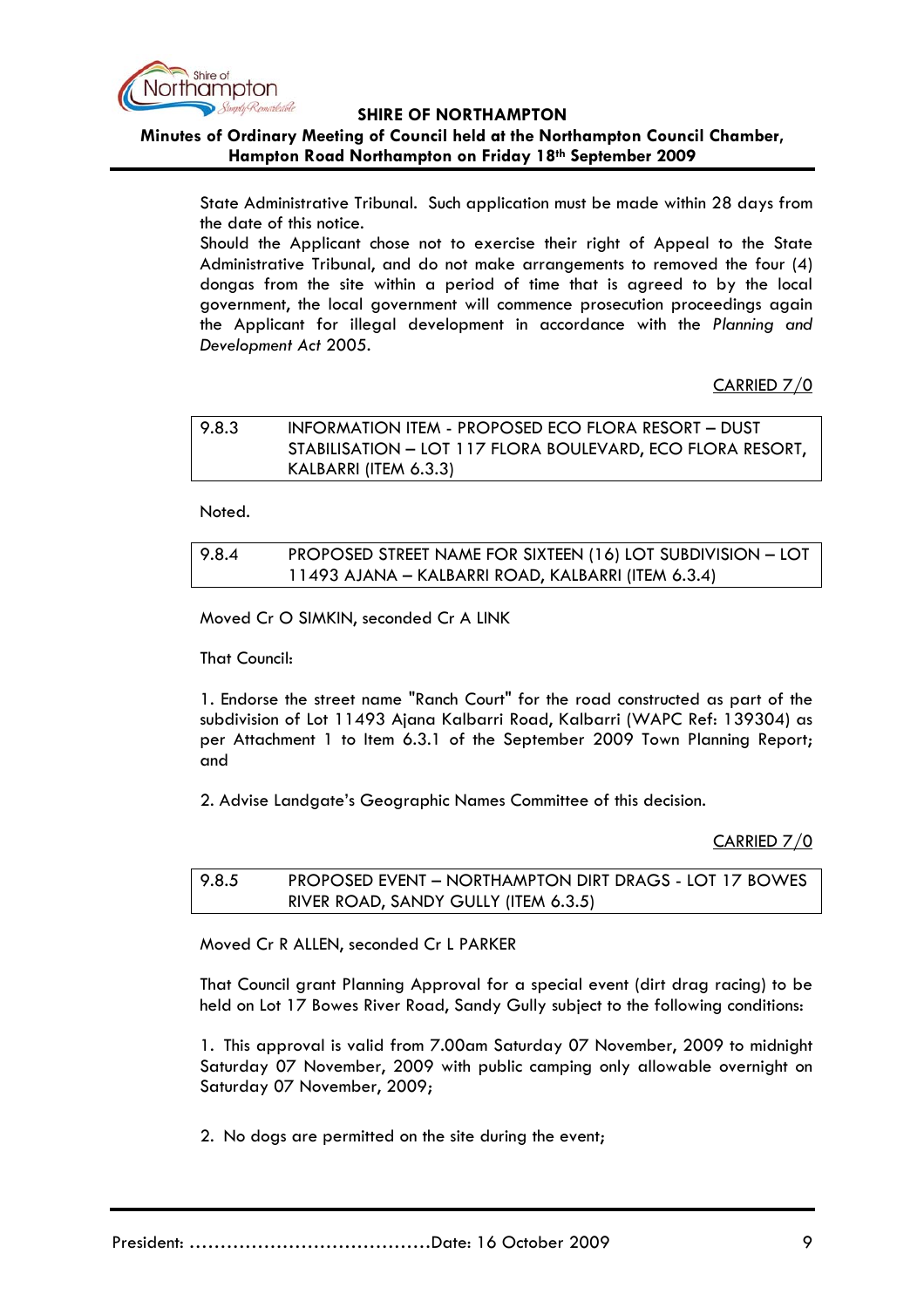

# **Minutes of Ordinary Meeting of Council held at the Northampton Council Chamber, Hampton Road Northampton on Friday 18th September 2009**

State Administrative Tribunal. Such application must be made within 28 days from the date of this notice.

Should the Applicant chose not to exercise their right of Appeal to the State Administrative Tribunal, and do not make arrangements to removed the four (4) dongas from the site within a period of time that is agreed to by the local government, the local government will commence prosecution proceedings again the Applicant for illegal development in accordance with the *Planning and Development Act* 2005.

CARRIED 7/0

| 9.8.3 | INFORMATION ITEM - PROPOSED ECO FLORA RESORT - DUST        |
|-------|------------------------------------------------------------|
|       | STABILISATION - LOT 117 FLORA BOULEVARD, ECO FLORA RESORT, |
|       | KALBARRI (ITEM 6.3.3)                                      |

Noted.

| 9.8.4 | PROPOSED STREET NAME FOR SIXTEEN (16) LOT SUBDIVISION - LOT |
|-------|-------------------------------------------------------------|
|       | 11493 AJANA – KALBARRI ROAD, KALBARRI (ITEM 6.3.4)          |

Moved Cr O SIMKIN, seconded Cr A LINK

That Council:

1. Endorse the street name "Ranch Court" for the road constructed as part of the subdivision of Lot 11493 Ajana Kalbarri Road, Kalbarri (WAPC Ref: 139304) as per Attachment 1 to Item 6.3.1 of the September 2009 Town Planning Report; and

2. Advise Landgate's Geographic Names Committee of this decision.

CARRIED 7/0

9.8.5 PROPOSED EVENT – NORTHAMPTON DIRT DRAGS - LOT 17 BOWES RIVER ROAD, SANDY GULLY (ITEM 6.3.5)

Moved Cr R ALLEN, seconded Cr L PARKER

That Council grant Planning Approval for a special event (dirt drag racing) to be held on Lot 17 Bowes River Road, Sandy Gully subject to the following conditions:

1. This approval is valid from 7.00am Saturday 07 November, 2009 to midnight Saturday 07 November, 2009 with public camping only allowable overnight on Saturday 07 November, 2009;

2. No dogs are permitted on the site during the event;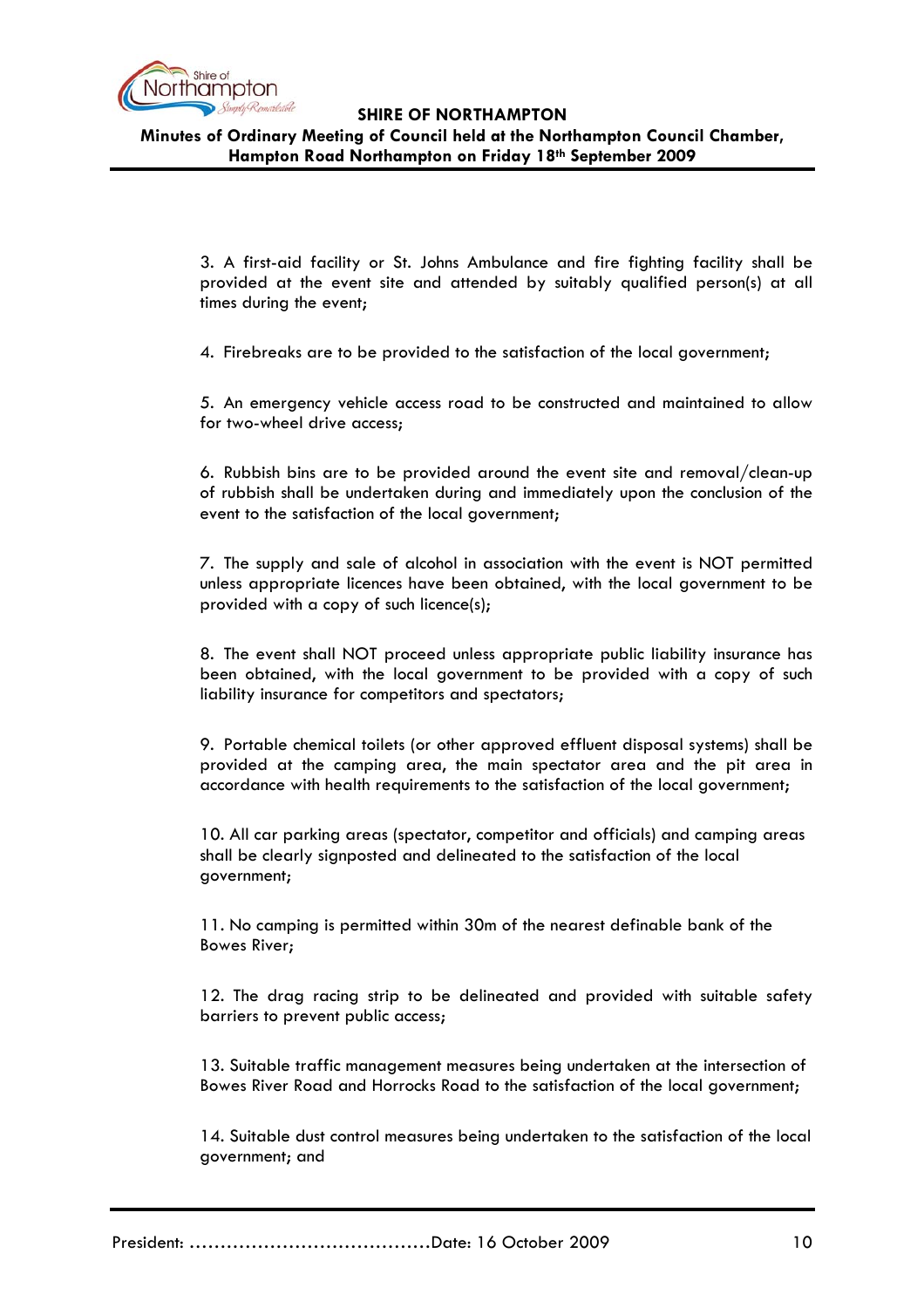

**Minutes of Ordinary Meeting of Council held at the Northampton Council Chamber, Hampton Road Northampton on Friday 18th September 2009**

3. A first-aid facility or St. Johns Ambulance and fire fighting facility shall be provided at the event site and attended by suitably qualified person(s) at all times during the event;

4. Firebreaks are to be provided to the satisfaction of the local government;

5. An emergency vehicle access road to be constructed and maintained to allow for two-wheel drive access;

6. Rubbish bins are to be provided around the event site and removal/clean-up of rubbish shall be undertaken during and immediately upon the conclusion of the event to the satisfaction of the local government;

7. The supply and sale of alcohol in association with the event is NOT permitted unless appropriate licences have been obtained, with the local government to be provided with a copy of such licence(s);

8. The event shall NOT proceed unless appropriate public liability insurance has been obtained, with the local government to be provided with a copy of such liability insurance for competitors and spectators;

9. Portable chemical toilets (or other approved effluent disposal systems) shall be provided at the camping area, the main spectator area and the pit area in accordance with health requirements to the satisfaction of the local government;

10. All car parking areas (spectator, competitor and officials) and camping areas shall be clearly signposted and delineated to the satisfaction of the local government;

11. No camping is permitted within 30m of the nearest definable bank of the Bowes River;

12. The drag racing strip to be delineated and provided with suitable safety barriers to prevent public access;

13. Suitable traffic management measures being undertaken at the intersection of Bowes River Road and Horrocks Road to the satisfaction of the local government;

14. Suitable dust control measures being undertaken to the satisfaction of the local government; and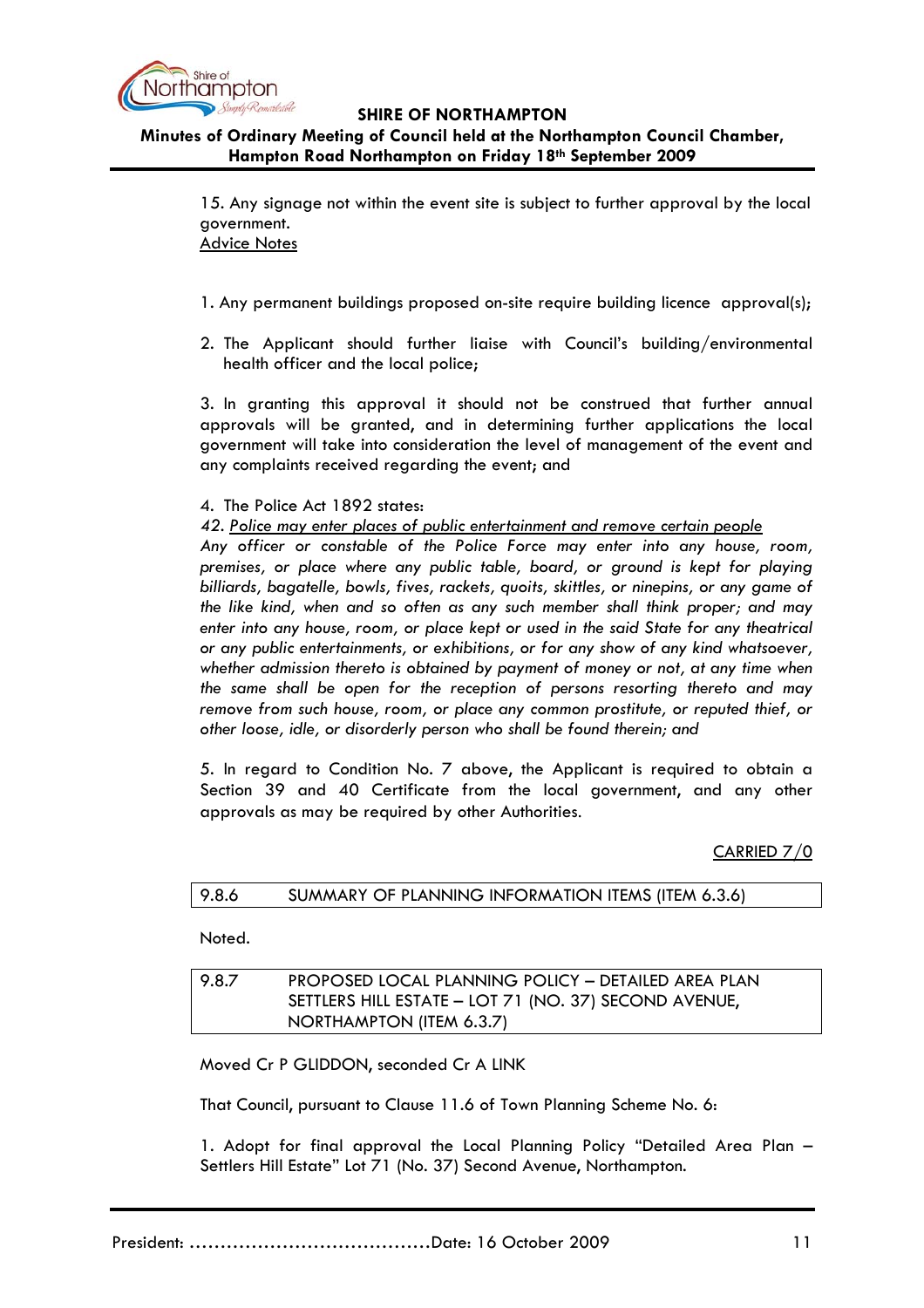

# **Minutes of Ordinary Meeting of Council held at the Northampton Council Chamber, Hampton Road Northampton on Friday 18th September 2009**

15. Any signage not within the event site is subject to further approval by the local government. Advice Notes

1. Any permanent buildings proposed on-site require building licence approval(s);

2. The Applicant should further liaise with Council's building/environmental health officer and the local police;

3. In granting this approval it should not be construed that further annual approvals will be granted, and in determining further applications the local government will take into consideration the level of management of the event and any complaints received regarding the event; and

4. The Police Act 1892 states:

*42. Police may enter places of public entertainment and remove certain people*

 *Any officer or constable of the Police Force may enter into any house, room, premises, or place where any public table, board, or ground is kept for playing billiards, bagatelle, bowls, fives, rackets, quoits, skittles, or ninepins, or any game of the like kind, when and so often as any such member shall think proper; and may enter into any house, room, or place kept or used in the said State for any theatrical or any public entertainments, or exhibitions, or for any show of any kind whatsoever, whether admission thereto is obtained by payment of money or not, at any time when the same shall be open for the reception of persons resorting thereto and may remove from such house, room, or place any common prostitute, or reputed thief, or other loose, idle, or disorderly person who shall be found therein; and* 

5. In regard to Condition No. 7 above, the Applicant is required to obtain a Section 39 and 40 Certificate from the local government, and any other approvals as may be required by other Authorities.

CARRIED 7/0

| 9.8.6 | SUMMARY OF PLANNING INFORMATION ITEMS (ITEM 6.3.6) |  |
|-------|----------------------------------------------------|--|
|-------|----------------------------------------------------|--|

Noted.

### 9.8.7 PROPOSED LOCAL PLANNING POLICY – DETAILED AREA PLAN SETTLERS HILL ESTATE – LOT 71 (NO. 37) SECOND AVENUE, NORTHAMPTON (ITEM 6.3.7)

Moved Cr P GLIDDON, seconded Cr A LINK

That Council, pursuant to Clause 11.6 of Town Planning Scheme No. 6:

1. Adopt for final approval the Local Planning Policy "Detailed Area Plan – Settlers Hill Estate" Lot 71 (No. 37) Second Avenue, Northampton.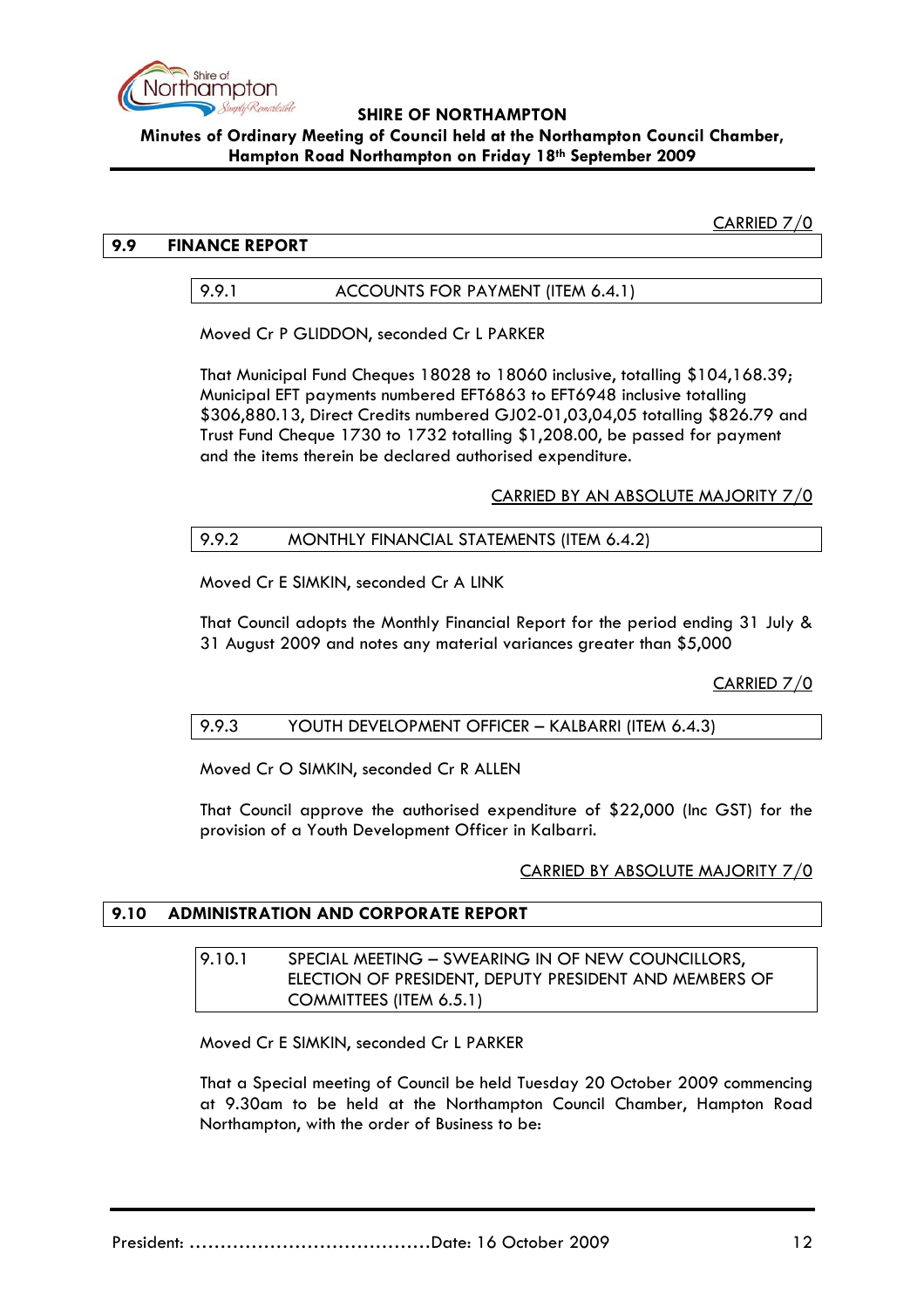

### **SHIRE OF NORTHAMPTON Minutes of Ordinary Meeting of Council held at the Northampton Council Chamber, Hampton Road Northampton on Friday 18th September 2009**

CARRIED 7/0

## **9.9 FINANCE REPORT**

9.9.1 ACCOUNTS FOR PAYMENT (ITEM 6.4.1)

Moved Cr P GLIDDON, seconded Cr L PARKER

That Municipal Fund Cheques 18028 to 18060 inclusive, totalling \$104,168.39; Municipal EFT payments numbered EFT6863 to EFT6948 inclusive totalling \$306,880.13, Direct Credits numbered GJ02-01,03,04,05 totalling \$826.79 and Trust Fund Cheque 1730 to 1732 totalling \$1,208.00, be passed for payment and the items therein be declared authorised expenditure.

CARRIED BY AN ABSOLUTE MAJORITY 7/0

# 9.9.2 MONTHLY FINANCIAL STATEMENTS (ITEM 6.4.2)

Moved Cr E SIMKIN, seconded Cr A LINK

That Council adopts the Monthly Financial Report for the period ending 31 July & 31 August 2009 and notes any material variances greater than \$5,000

CARRIED 7/0

# 9.9.3 YOUTH DEVELOPMENT OFFICER – KALBARRI (ITEM 6.4.3)

Moved Cr O SIMKIN, seconded Cr R ALLEN

That Council approve the authorised expenditure of \$22,000 (Inc GST) for the provision of a Youth Development Officer in Kalbarri.

#### CARRIED BY ABSOLUTE MAJORITY 7/0

# **9.10 ADMINISTRATION AND CORPORATE REPORT**

### 9.10.1 SPECIAL MEETING – SWEARING IN OF NEW COUNCILLORS. ELECTION OF PRESIDENT, DEPUTY PRESIDENT AND MEMBERS OF COMMITTEES (ITEM 6.5.1)

Moved Cr E SIMKIN, seconded Cr L PARKER

That a Special meeting of Council be held Tuesday 20 October 2009 commencing at 9.30am to be held at the Northampton Council Chamber, Hampton Road Northampton, with the order of Business to be: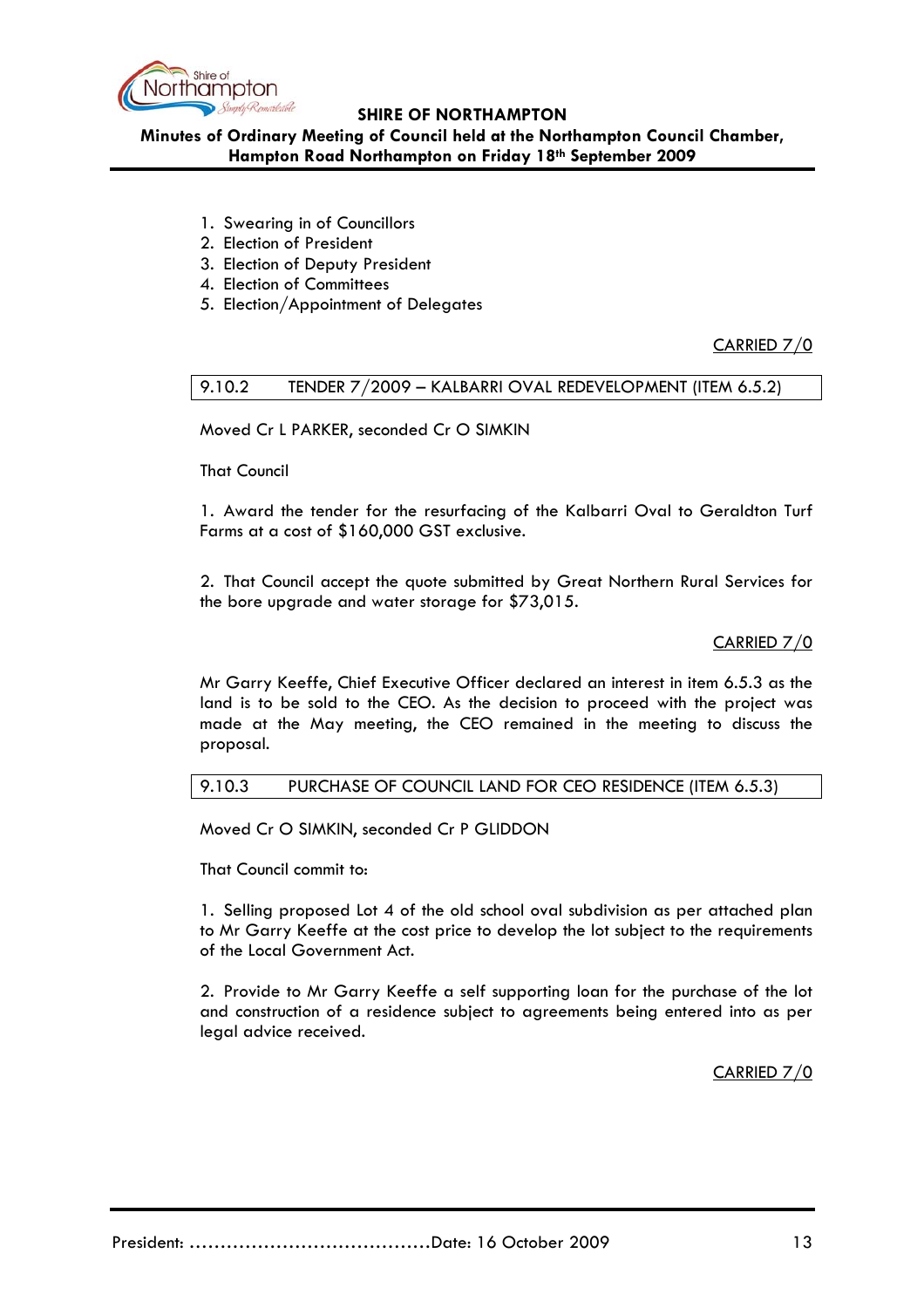

**Minutes of Ordinary Meeting of Council held at the Northampton Council Chamber, Hampton Road Northampton on Friday 18th September 2009**

- 1. Swearing in of Councillors
- 2. Election of President
- 3. Election of Deputy President
- 4. Election of Committees
- 5. Election/Appointment of Delegates

CARRIED 7/0

### 9.10.2 TENDER 7/2009 – KALBARRI OVAL REDEVELOPMENT (ITEM 6.5.2)

Moved Cr L PARKER, seconded Cr O SIMKIN

That Council

1. Award the tender for the resurfacing of the Kalbarri Oval to Geraldton Turf Farms at a cost of \$160,000 GST exclusive.

2. That Council accept the quote submitted by Great Northern Rural Services for the bore upgrade and water storage for \$73,015.

CARRIED 7/0

Mr Garry Keeffe, Chief Executive Officer declared an interest in item 6.5.3 as the land is to be sold to the CEO. As the decision to proceed with the project was made at the May meeting, the CEO remained in the meeting to discuss the proposal.

# 9.10.3 PURCHASE OF COUNCIL LAND FOR CEO RESIDENCE (ITEM 6.5.3)

Moved Cr O SIMKIN, seconded Cr P GLIDDON

That Council commit to:

1. Selling proposed Lot 4 of the old school oval subdivision as per attached plan to Mr Garry Keeffe at the cost price to develop the lot subject to the requirements of the Local Government Act.

2. Provide to Mr Garry Keeffe a self supporting loan for the purchase of the lot and construction of a residence subject to agreements being entered into as per legal advice received.

CARRIED 7/0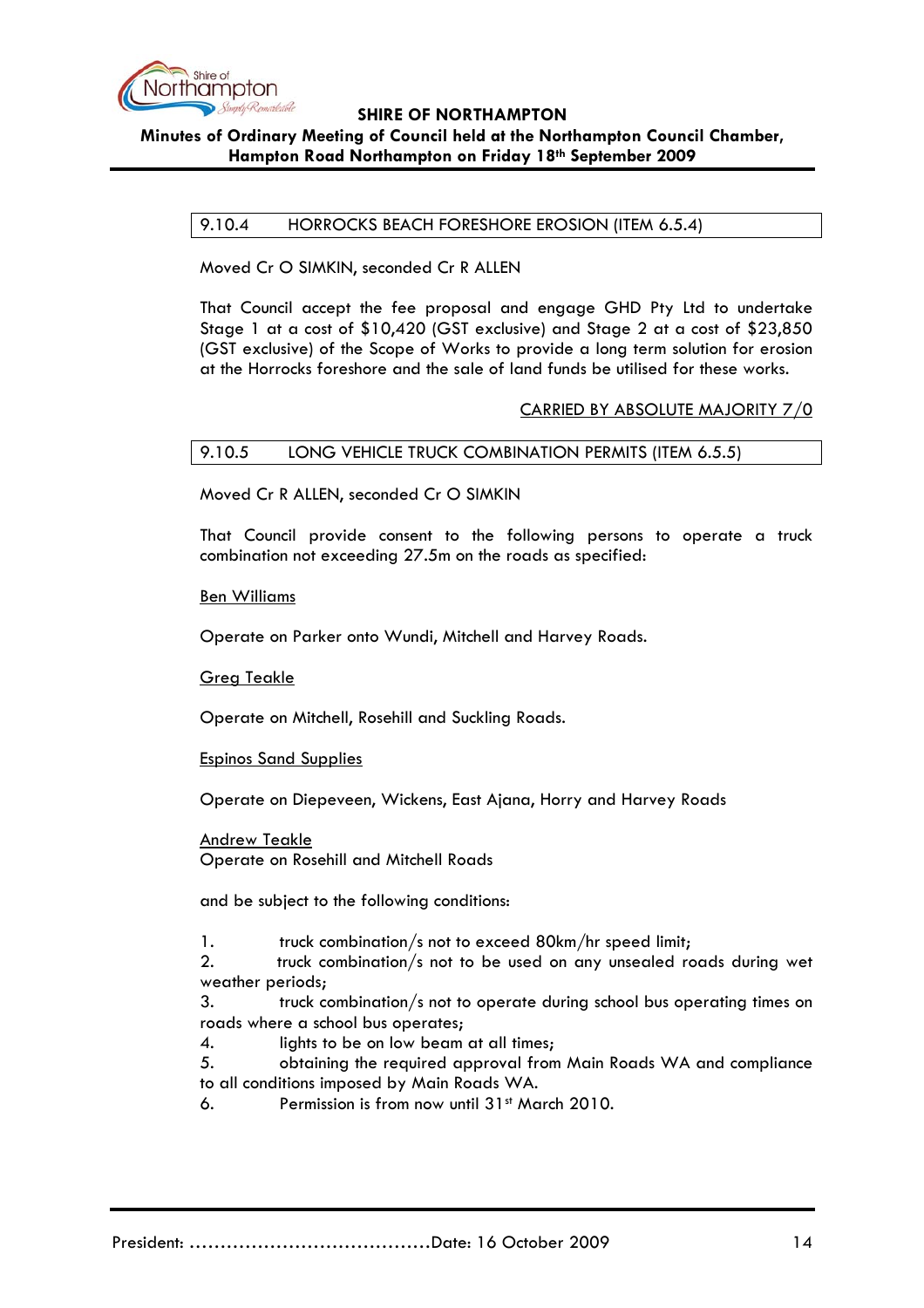

**Minutes of Ordinary Meeting of Council held at the Northampton Council Chamber, Hampton Road Northampton on Friday 18th September 2009**

#### 9.10.4 HORROCKS BEACH FORESHORE EROSION (ITEM 6.5.4)

Moved Cr O SIMKIN, seconded Cr R ALLEN

That Council accept the fee proposal and engage GHD Pty Ltd to undertake Stage 1 at a cost of \$10,420 (GST exclusive) and Stage 2 at a cost of \$23,850 (GST exclusive) of the Scope of Works to provide a long term solution for erosion at the Horrocks foreshore and the sale of land funds be utilised for these works.

#### CARRIED BY ABSOLUTE MAJORITY 7/0

#### 9.10.5 LONG VEHICLE TRUCK COMBINATION PERMITS (ITEM 6.5.5)

Moved Cr R ALLEN, seconded Cr O SIMKIN

That Council provide consent to the following persons to operate a truck combination not exceeding 27.5m on the roads as specified:

Ben Williams

Operate on Parker onto Wundi, Mitchell and Harvey Roads.

Greg Teakle

Operate on Mitchell, Rosehill and Suckling Roads.

Espinos Sand Supplies

Operate on Diepeveen, Wickens, East Ajana, Horry and Harvey Roads

Andrew Teakle Operate on Rosehill and Mitchell Roads

and be subject to the following conditions:

1. truck combination/s not to exceed 80km/hr speed limit;

2. truck combination/s not to be used on any unsealed roads during wet weather periods;

3. truck combination/s not to operate during school bus operating times on roads where a school bus operates;

4. lights to be on low beam at all times;

5. obtaining the required approval from Main Roads WA and compliance to all conditions imposed by Main Roads WA.

6. Permission is from now until 31st March 2010.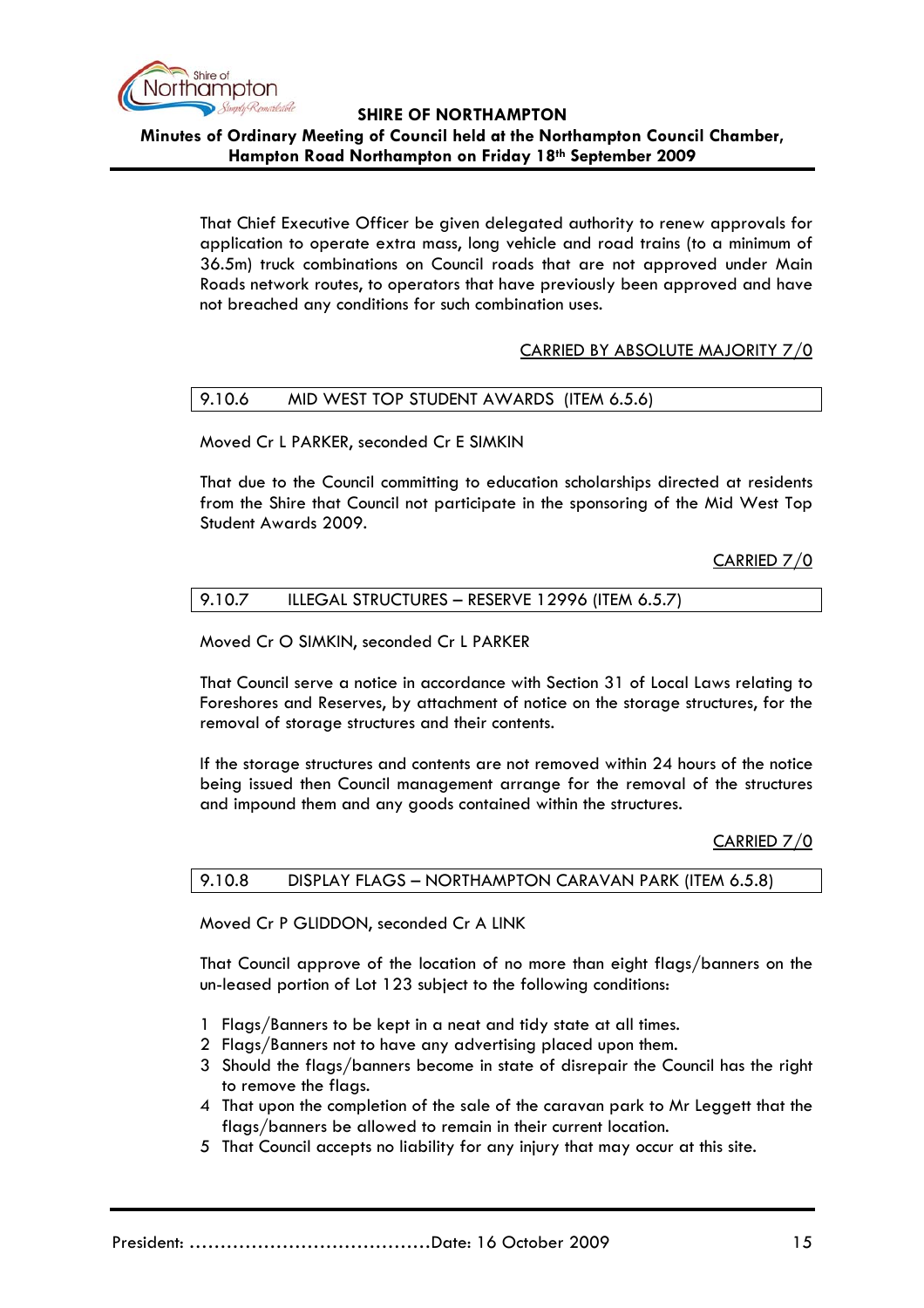

**Minutes of Ordinary Meeting of Council held at the Northampton Council Chamber, Hampton Road Northampton on Friday 18th September 2009**

That Chief Executive Officer be given delegated authority to renew approvals for application to operate extra mass, long vehicle and road trains (to a minimum of 36.5m) truck combinations on Council roads that are not approved under Main Roads network routes, to operators that have previously been approved and have not breached any conditions for such combination uses.

### CARRIED BY ABSOLUTE MAJORITY 7/0

### 9.10.6 MID WEST TOP STUDENT AWARDS (ITEM 6.5.6)

Moved Cr L PARKER, seconded Cr E SIMKIN

That due to the Council committing to education scholarships directed at residents from the Shire that Council not participate in the sponsoring of the Mid West Top Student Awards 2009.

CARRIED 7/0

#### 9.10.7 ILLEGAL STRUCTURES - RESERVE 12996 (ITEM 6.5.7)

### Moved Cr O SIMKIN, seconded Cr L PARKER

That Council serve a notice in accordance with Section 31 of Local Laws relating to Foreshores and Reserves, by attachment of notice on the storage structures, for the removal of storage structures and their contents.

If the storage structures and contents are not removed within 24 hours of the notice being issued then Council management arrange for the removal of the structures and impound them and any goods contained within the structures.

CARRIED 7/0

#### 9.10.8 DISPLAY FLAGS – NORTHAMPTON CARAVAN PARK (ITEM 6.5.8)

Moved Cr P GLIDDON, seconded Cr A LINK

That Council approve of the location of no more than eight flags/banners on the un-leased portion of Lot 123 subject to the following conditions:

- 1 Flags/Banners to be kept in a neat and tidy state at all times.
- 2 Flags/Banners not to have any advertising placed upon them.
- 3 Should the flags/banners become in state of disrepair the Council has the right to remove the flags.
- 4 That upon the completion of the sale of the caravan park to Mr Leggett that the flags/banners be allowed to remain in their current location.
- 5 That Council accepts no liability for any injury that may occur at this site.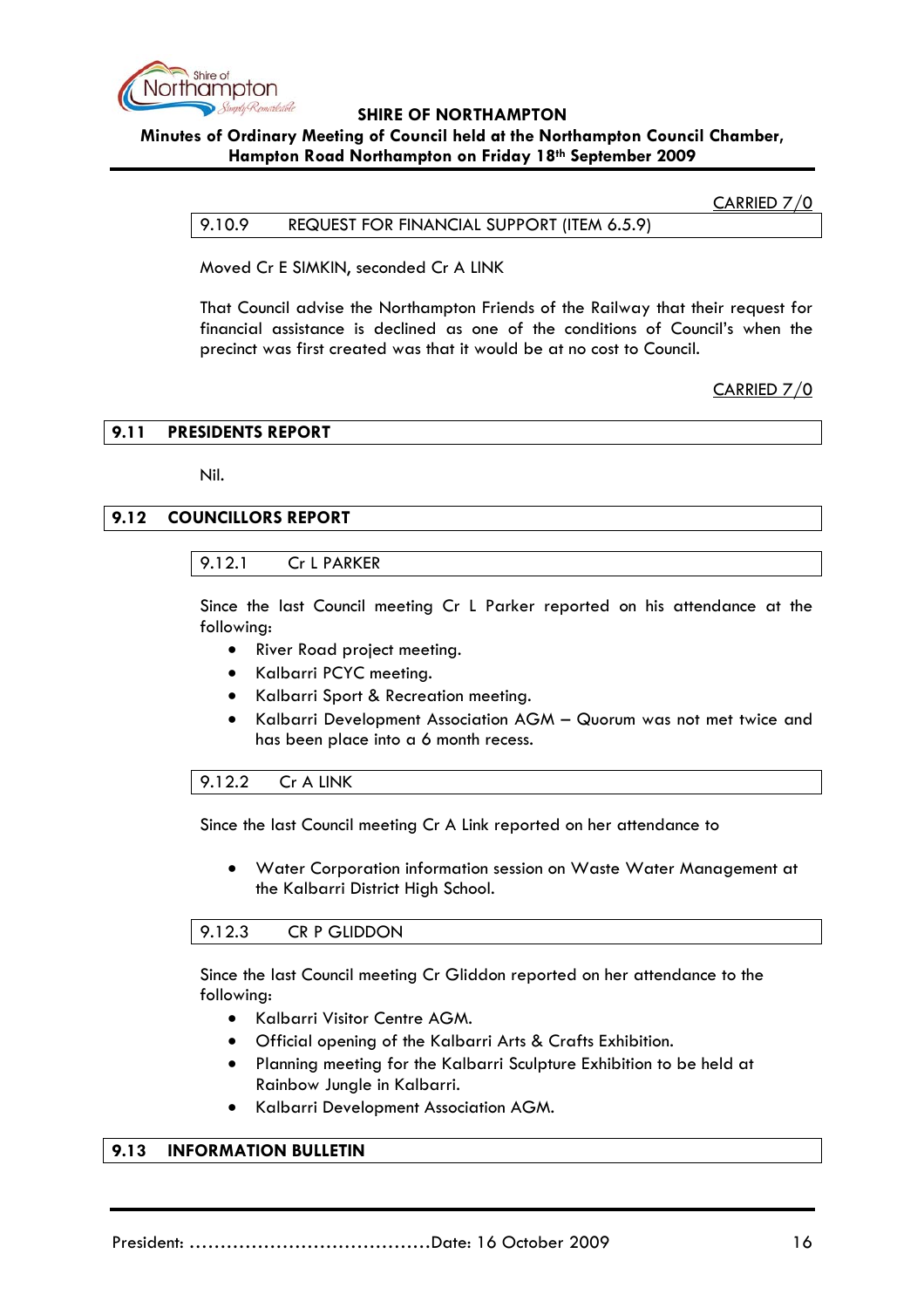

### **Minutes of Ordinary Meeting of Council held at the Northampton Council Chamber, Hampton Road Northampton on Friday 18th September 2009**

#### CARRIED 7/0

#### 9.10.9 REQUEST FOR FINANCIAL SUPPORT (ITEM 6.5.9)

Moved Cr E SIMKIN, seconded Cr A LINK

That Council advise the Northampton Friends of the Railway that their request for financial assistance is declined as one of the conditions of Council's when the precinct was first created was that it would be at no cost to Council.

CARRIED 7/0

#### **9.11 PRESIDENTS REPORT**

Nil.

# **9.12 COUNCILLORS REPORT**

### 9.12.1 Cr L PARKER

Since the last Council meeting Cr L Parker reported on his attendance at the following:

- River Road project meeting.
- Kalbarri PCYC meeting.
- Kalbarri Sport & Recreation meeting.
- Kalbarri Development Association AGM Quorum was not met twice and has been place into a 6 month recess.

#### 9.12.2 Cr A LINK

Since the last Council meeting Cr A Link reported on her attendance to

• Water Corporation information session on Waste Water Management at the Kalbarri District High School.

#### 9.12.3 CR P GLIDDON

Since the last Council meeting Cr Gliddon reported on her attendance to the following:

- Kalbarri Visitor Centre AGM.
- Official opening of the Kalbarri Arts & Crafts Exhibition.
- Planning meeting for the Kalbarri Sculpture Exhibition to be held at Rainbow Jungle in Kalbarri.
- Kalbarri Development Association AGM.

### **9.13 INFORMATION BULLETIN**

President: …………………………………Date: 16 October 2009 16